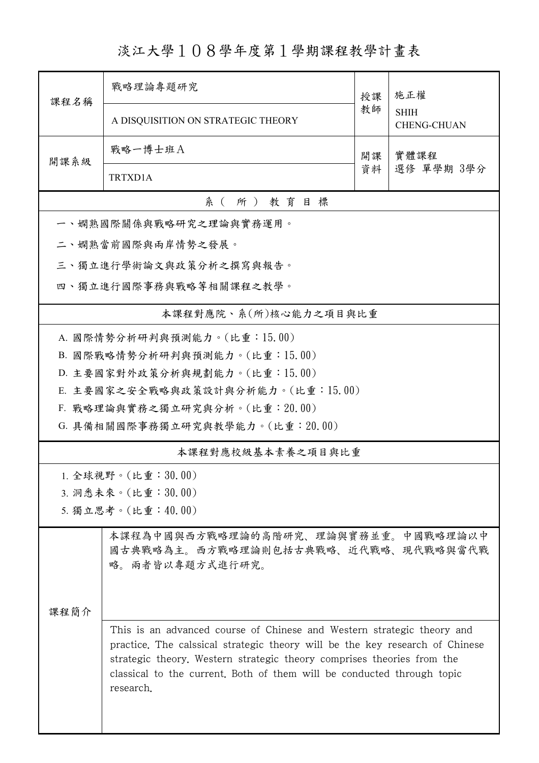淡江大學108學年度第1學期課程教學計畫表

| 課程名稱                             | 戰略理論專題研究                                                                                                                                                                                                                                                                                                                | 授課 | 施正權<br><b>SHIH</b><br><b>CHENG-CHUAN</b> |  |  |  |
|----------------------------------|-------------------------------------------------------------------------------------------------------------------------------------------------------------------------------------------------------------------------------------------------------------------------------------------------------------------------|----|------------------------------------------|--|--|--|
|                                  | A DISQUISITION ON STRATEGIC THEORY                                                                                                                                                                                                                                                                                      | 教師 |                                          |  |  |  |
| 開課系級                             | 戰略一博士班A                                                                                                                                                                                                                                                                                                                 | 開課 | 實體課程                                     |  |  |  |
|                                  | TRTXD1A                                                                                                                                                                                                                                                                                                                 | 資料 | 選修 單學期 3學分                               |  |  |  |
| 系(所)教育目標                         |                                                                                                                                                                                                                                                                                                                         |    |                                          |  |  |  |
|                                  | 一、嫻熟國際關係與戰略研究之理論與實務運用。                                                                                                                                                                                                                                                                                                  |    |                                          |  |  |  |
|                                  | 二、嫻熟當前國際與兩岸情勢之發展。                                                                                                                                                                                                                                                                                                       |    |                                          |  |  |  |
|                                  | 三、獨立進行學術論文與政策分析之撰寫與報告。                                                                                                                                                                                                                                                                                                  |    |                                          |  |  |  |
| 四、獨立進行國際事務與戰略等相關課程之教學。           |                                                                                                                                                                                                                                                                                                                         |    |                                          |  |  |  |
|                                  | 本課程對應院、系(所)核心能力之項目與比重                                                                                                                                                                                                                                                                                                   |    |                                          |  |  |  |
| A. 國際情勢分析研判與預測能力。(比重:15.00)      |                                                                                                                                                                                                                                                                                                                         |    |                                          |  |  |  |
|                                  | B. 國際戰略情勢分析研判與預測能力。(比重:15.00)                                                                                                                                                                                                                                                                                           |    |                                          |  |  |  |
|                                  | D. 主要國家對外政策分析與規劃能力。(比重:15.00)                                                                                                                                                                                                                                                                                           |    |                                          |  |  |  |
|                                  | E. 主要國家之安全戰略與政策設計與分析能力。(比重:15.00)                                                                                                                                                                                                                                                                                       |    |                                          |  |  |  |
|                                  | F. 戰略理論與實務之獨立研究與分析。(比重: 20.00)                                                                                                                                                                                                                                                                                          |    |                                          |  |  |  |
| G. 具備相關國際事務獨立研究與教學能力。(比重: 20.00) |                                                                                                                                                                                                                                                                                                                         |    |                                          |  |  |  |
| 本課程對應校級基本素養之項目與比重                |                                                                                                                                                                                                                                                                                                                         |    |                                          |  |  |  |
|                                  | 1. 全球視野。(比重: $30.00$ )                                                                                                                                                                                                                                                                                                  |    |                                          |  |  |  |
| 3. 洞悉未來。(比重:30.00)               |                                                                                                                                                                                                                                                                                                                         |    |                                          |  |  |  |
|                                  | 5. 獨立思考。(比重:40.00)                                                                                                                                                                                                                                                                                                      |    |                                          |  |  |  |
|                                  | 本課程為中國與西方戰略理論的高階研究、理論與實務並重。中國戰略理論以中<br>國古典戰略為主。西方戰略理論則包括古典戰略、近代戰略、現代戰略與當代戰<br>略。兩者皆以專題方式進行研究。                                                                                                                                                                                                                           |    |                                          |  |  |  |
| 课程简介                             |                                                                                                                                                                                                                                                                                                                         |    |                                          |  |  |  |
|                                  | This is an advanced course of Chinese and Western strategic theory and<br>practice. The calssical strategic theory will be the key research of Chinese<br>strategic theory. Western strategic theory comprises theories from the<br>classical to the current. Both of them will be conducted through topic<br>research. |    |                                          |  |  |  |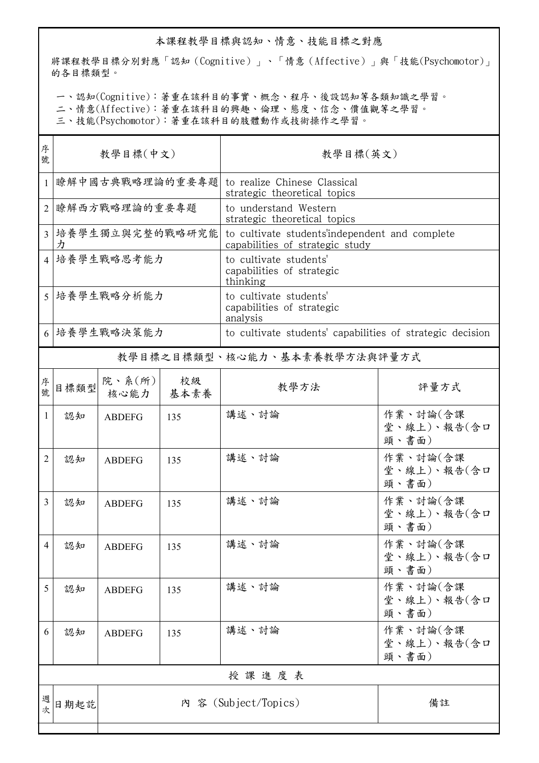## 本課程教學目標與認知、情意、技能目標之對應

將課程教學目標分別對應「認知(Cognitive)」、「情意(Affective)」與「技能(Psychomotor)」 的各目標類型。

一、認知(Cognitive):著重在該科目的事實、概念、程序、後設認知等各類知識之學習。

二、情意(Affective):著重在該科目的興趣、倫理、態度、信念、價值觀等之學習。

三、技能(Psychomotor):著重在該科目的肢體動作或技術操作之學習。

| 序<br>教學目標(中文)<br>號              |               |            |                                                                                   |                                                                                                                               |  |
|---------------------------------|---------------|------------|-----------------------------------------------------------------------------------|-------------------------------------------------------------------------------------------------------------------------------|--|
| 瞭解中國古典戰略理論的重要專題                 |               |            | to realize Chinese Classical<br>strategic theoretical topics                      |                                                                                                                               |  |
| 瞭解西方戰略理論的重要專題<br>$\overline{2}$ |               |            | to understand Western<br>strategic theoretical topics                             |                                                                                                                               |  |
| 3  培養學生獨立與完整的戰略研究能<br>力         |               |            | to cultivate students'independent and complete<br>capabilities of strategic study |                                                                                                                               |  |
| 4  培養學生戰略思考能力                   |               |            | to cultivate students'<br>capabilities of strategic<br>thinking                   |                                                                                                                               |  |
| 5   培養學生戰略分析能力                  |               |            | to cultivate students'<br>capabilities of strategic<br>analysis                   |                                                                                                                               |  |
| 6  培養學生戰略決策能力                   |               |            |                                                                                   |                                                                                                                               |  |
|                                 |               |            |                                                                                   |                                                                                                                               |  |
| 目標類型                            | 核心能力          | 校級<br>基本素養 | 教學方法                                                                              | 評量方式                                                                                                                          |  |
| 認知                              | <b>ABDEFG</b> | 135        | 講述、討論                                                                             | 作業、討論(含課<br>堂、線上)、報告(含口<br>頭、書面)                                                                                              |  |
| 認知                              | <b>ABDEFG</b> | 135        | 講述、討論                                                                             | 作業、討論(含課<br>堂、線上)、報告(含口<br>頭、書面)                                                                                              |  |
| 認知                              | <b>ABDEFG</b> | 135        | 講述、討論                                                                             | 作業、討論(含課<br>堂、線上)、報告(含口<br>頭、書面)                                                                                              |  |
| 認知                              | <b>ABDEFG</b> | 135        | 講述、討論                                                                             | 作業、討論(含課<br>堂、線上)、報告(含口<br>頭、書面)                                                                                              |  |
| 認知                              | <b>ABDEFG</b> | 135        | 講述、討論                                                                             | 作業、討論(含課<br>堂、線上)、報告(含口<br>頭、書面)                                                                                              |  |
| 認知                              | <b>ABDEFG</b> | 135        | 講述、討論                                                                             | 作業、討論(含課<br>堂、線上)、報告(含口<br>頭、書面)                                                                                              |  |
| 授課進度表                           |               |            |                                                                                   |                                                                                                                               |  |
| 日期起訖                            |               |            |                                                                                   | 備註                                                                                                                            |  |
|                                 |               |            | 院、系 $(\text{m})$                                                                  | 教學目標(英文)<br>to cultivate students' capabilities of strategic decision<br>教學目標之目標類型、核心能力、基本素養教學方法與評量方式<br>内 容 (Subject/Topics) |  |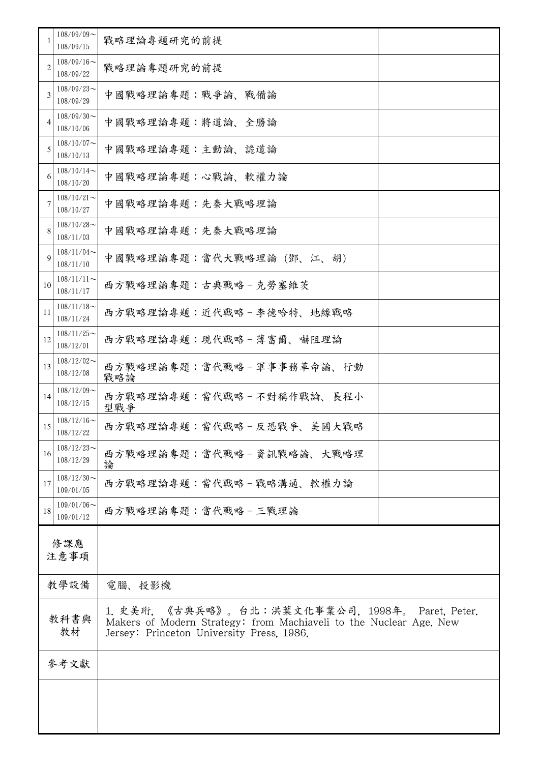|             | $108/09/09$ ~<br>108/09/15    | 戰略理論專題研究的前提                                                                                                                                                           |  |  |
|-------------|-------------------------------|-----------------------------------------------------------------------------------------------------------------------------------------------------------------------|--|--|
| 2           | $108/09/16$ ~<br>108/09/22    | 戰略理論專題研究的前提                                                                                                                                                           |  |  |
| 3           | $108/09/23$ ~<br>108/09/29    | 中國戰略理論專題:戰爭論、戰備論                                                                                                                                                      |  |  |
| 4           | $108/09/30$ ~<br>108/10/06    | 中國戰略理論專題:將道論、全勝論                                                                                                                                                      |  |  |
| 5           | $108/10/07$ ~<br>108/10/13    | 中國戰略理論專題:主動論、詭道論                                                                                                                                                      |  |  |
| 6           | $108/10/14$ ~<br>108/10/20    | 中國戰略理論專題:心戰論、軟權力論                                                                                                                                                     |  |  |
|             | $108/10/21$ ~<br>108/10/27    | 中國戰略理論專題:先秦大戰略理論                                                                                                                                                      |  |  |
| 8           | $108/10/28$ ~<br>108/11/03    | 中國戰略理論專題:先秦大戰略理論                                                                                                                                                      |  |  |
| 9           | $108/11/04$ ~<br>108/11/10    | 中國戰略理論專題:當代大戰略理論(鄧、江、胡)                                                                                                                                               |  |  |
| 10          | $108/11/11$ ~<br>108/11/17    | 西方戰略理論專題:古典戰略-克勞塞維茨                                                                                                                                                   |  |  |
| 11          | $108/11/18$ ~<br>108/11/24    | 西方戰略理論專題:近代戰略 - 李德哈特、地緣戰略                                                                                                                                             |  |  |
| 12          | $108/11/25$ ~<br>108/12/01    | 西方戰略理論專題:現代戰略 - 薄富爾、嚇阻理論                                                                                                                                              |  |  |
| 13          | $108/12/02$ ~<br>108/12/08    | 西方戰略理論專題:當代戰略 - 軍事事務革命論、行動<br>戰略論                                                                                                                                     |  |  |
| 14          | $108/12/09$ ~<br>108/12/15    | 西方戰略理論專題:當代戰略-不對稱作戰論、長程小<br>型戰爭                                                                                                                                       |  |  |
| 15          | $108/12/16 \sim$<br>108/12/22 | 西方戰略理論專題:當代戰略 - 反恐戰爭、美國大戰略                                                                                                                                            |  |  |
| 16          | $108/12/23$ ~<br>108/12/29    | 西方戰略理論專題:當代戰略 – 資訊戰略論、大戰略理<br>論                                                                                                                                       |  |  |
| 17          | $108/12/30$ ~<br>109/01/05    | 西方戰略理論專題:當代戰略 - 戰略溝通、軟權力論                                                                                                                                             |  |  |
| 18          | $109/01/06$ ~<br>109/01/12    | 西方戰略理論專題:當代戰略-三戰理論                                                                                                                                                    |  |  |
| 修課應<br>注意事項 |                               |                                                                                                                                                                       |  |  |
| 教學設備        |                               | 電腦、投影機                                                                                                                                                                |  |  |
| 教科書與<br>教材  |                               | 《古典兵略》。台北:洪葉文化事業公司,1998年。 Paret. Peter.<br>1. 史美珩.<br>Makers of Modern Strategy: from Machiaveli to the Nuclear Age. New<br>Jersey: Princeton University Press, 1986. |  |  |
|             | 參考文獻                          |                                                                                                                                                                       |  |  |
|             |                               |                                                                                                                                                                       |  |  |
|             |                               |                                                                                                                                                                       |  |  |